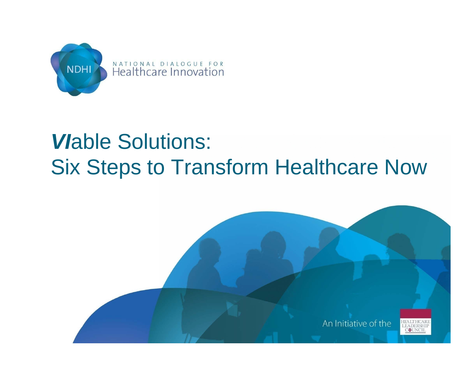

#### *Vlable Solutions:* **Six Steps to Transform Healthcare Now**

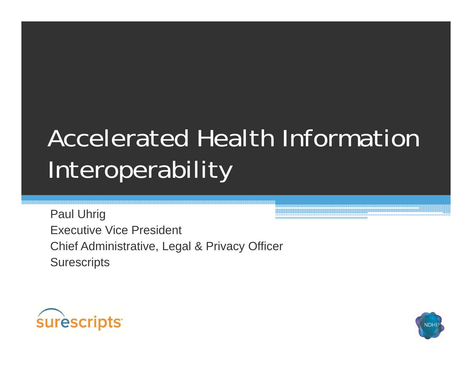# **Accelerated Health Information** Interoperability

**Paul Uhrig Executive Vice President** Chief Administrative, Legal & Privacy Officer **Surescripts** 



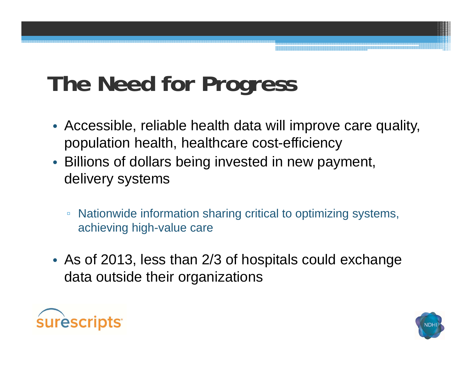## **The Need for Progress**

- Accessible, reliable health data will improve care quality, population health, healthcare cost-efficiency
- Billions of dollars being invested in new payment, delivery systems
	- $\Box$  Nationwide information sharing critical to optimizing systems, achieving high-value care
- As of 2013, less than 2/3 of hospitals could exchange data outside their organizations



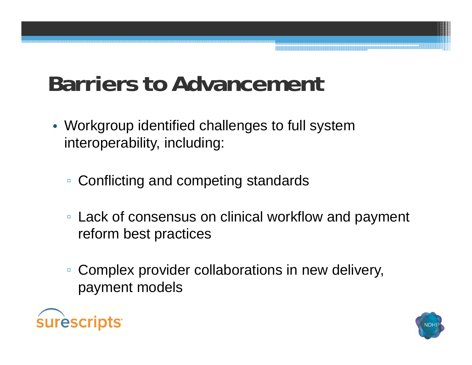#### **Barriers to Advancement**

- Workgroup identified challenges to full system interoperability, including:
	- Conflicting and competing standards
	- Lack of consensus on clinical workflow and payment reform best practices
	- $\Box$  Complex provider collaborations in new delivery, payment models



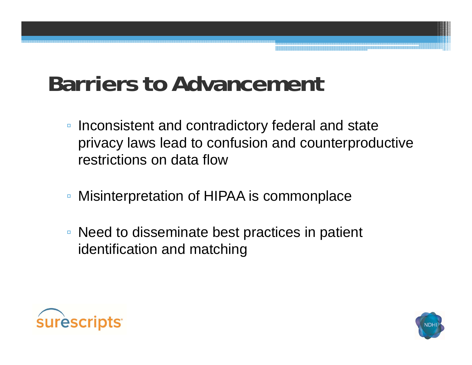#### **Barriers to Advancement**

- Inconsistent and contradictory federal and state privacy laws lead to confusion and counterproductive restrictions on data flow
- $\Box$ Misinterpretation of HIPAA is commonplace
- Need to disseminate best practices in patient identification and matching



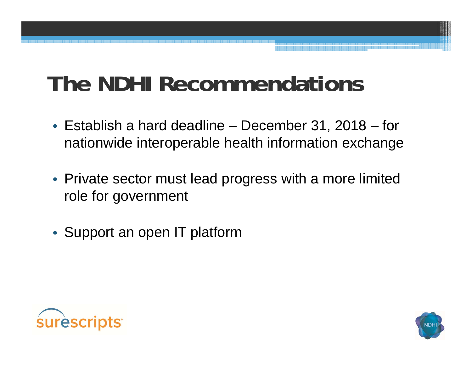### **The NDHI Recommendations**

- Establish a hard deadline December 31, 2018 for nationwide interoperable health information exchange
- Private sector must lead progress with a more limited role for government
- Support an open IT platform